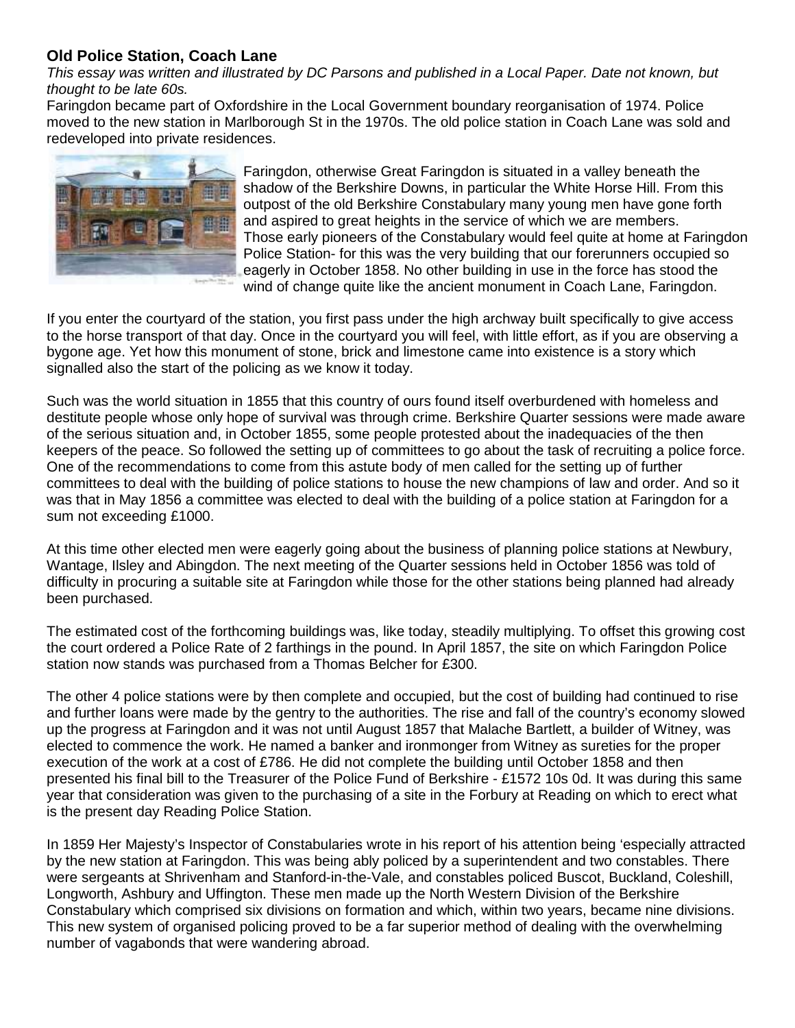## **Old Police Station, Coach Lane**

This essay was written and illustrated by DC Parsons and published in a Local Paper. Date not known, but thought to be late 60s.

Faringdon became part of Oxfordshire in the Local Government boundary reorganisation of 1974. Police moved to the new station in Marlborough St in the 1970s. The old police station in Coach Lane was sold and redeveloped into private residences.



Faringdon, otherwise Great Faringdon is situated in a valley beneath the shadow of the Berkshire Downs, in particular the White Horse Hill. From this outpost of the old Berkshire Constabulary many young men have gone forth and aspired to great heights in the service of which we are members. Those early pioneers of the Constabulary would feel quite at home at Faringdon Police Station- for this was the very building that our forerunners occupied so eagerly in October 1858. No other building in use in the force has stood the wind of change quite like the ancient monument in Coach Lane, Faringdon.

If you enter the courtyard of the station, you first pass under the high archway built specifically to give access to the horse transport of that day. Once in the courtyard you will feel, with little effort, as if you are observing a bygone age. Yet how this monument of stone, brick and limestone came into existence is a story which signalled also the start of the policing as we know it today.

Such was the world situation in 1855 that this country of ours found itself overburdened with homeless and destitute people whose only hope of survival was through crime. Berkshire Quarter sessions were made aware of the serious situation and, in October 1855, some people protested about the inadequacies of the then keepers of the peace. So followed the setting up of committees to go about the task of recruiting a police force. One of the recommendations to come from this astute body of men called for the setting up of further committees to deal with the building of police stations to house the new champions of law and order. And so it was that in May 1856 a committee was elected to deal with the building of a police station at Faringdon for a sum not exceeding £1000.

At this time other elected men were eagerly going about the business of planning police stations at Newbury, Wantage, Ilsley and Abingdon. The next meeting of the Quarter sessions held in October 1856 was told of difficulty in procuring a suitable site at Faringdon while those for the other stations being planned had already been purchased.

The estimated cost of the forthcoming buildings was, like today, steadily multiplying. To offset this growing cost the court ordered a Police Rate of 2 farthings in the pound. In April 1857, the site on which Faringdon Police station now stands was purchased from a Thomas Belcher for £300.

The other 4 police stations were by then complete and occupied, but the cost of building had continued to rise and further loans were made by the gentry to the authorities. The rise and fall of the country's economy slowed up the progress at Faringdon and it was not until August 1857 that Malache Bartlett, a builder of Witney, was elected to commence the work. He named a banker and ironmonger from Witney as sureties for the proper execution of the work at a cost of £786. He did not complete the building until October 1858 and then presented his final bill to the Treasurer of the Police Fund of Berkshire - £1572 10s 0d. It was during this same year that consideration was given to the purchasing of a site in the Forbury at Reading on which to erect what is the present day Reading Police Station.

In 1859 Her Majesty's Inspector of Constabularies wrote in his report of his attention being 'especially attracted by the new station at Faringdon. This was being ably policed by a superintendent and two constables. There were sergeants at Shrivenham and Stanford-in-the-Vale, and constables policed Buscot, Buckland, Coleshill, Longworth, Ashbury and Uffington. These men made up the North Western Division of the Berkshire Constabulary which comprised six divisions on formation and which, within two years, became nine divisions. This new system of organised policing proved to be a far superior method of dealing with the overwhelming number of vagabonds that were wandering abroad.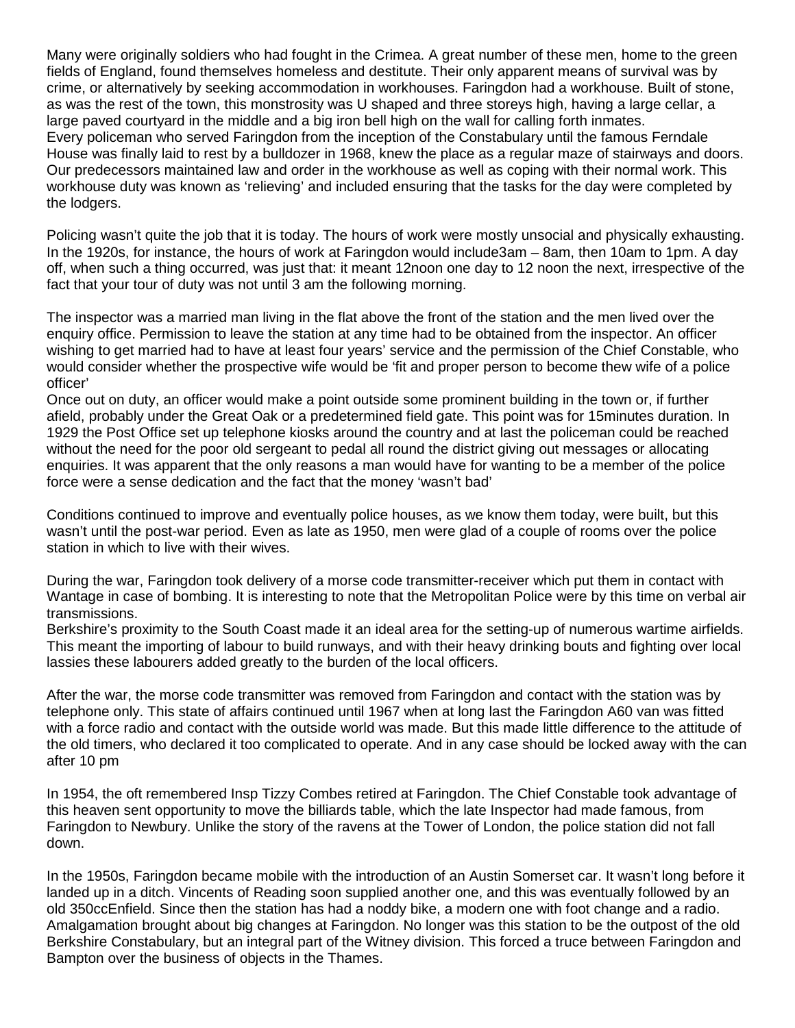Many were originally soldiers who had fought in the Crimea. A great number of these men, home to the green fields of England, found themselves homeless and destitute. Their only apparent means of survival was by crime, or alternatively by seeking accommodation in workhouses. Faringdon had a workhouse. Built of stone, as was the rest of the town, this monstrosity was U shaped and three storeys high, having a large cellar, a large paved courtyard in the middle and a big iron bell high on the wall for calling forth inmates. Every policeman who served Faringdon from the inception of the Constabulary until the famous Ferndale House was finally laid to rest by a bulldozer in 1968, knew the place as a regular maze of stairways and doors. Our predecessors maintained law and order in the workhouse as well as coping with their normal work. This workhouse duty was known as 'relieving' and included ensuring that the tasks for the day were completed by the lodgers.

Policing wasn't quite the job that it is today. The hours of work were mostly unsocial and physically exhausting. In the 1920s, for instance, the hours of work at Faringdon would include3am – 8am, then 10am to 1pm. A day off, when such a thing occurred, was just that: it meant 12noon one day to 12 noon the next, irrespective of the fact that your tour of duty was not until 3 am the following morning.

The inspector was a married man living in the flat above the front of the station and the men lived over the enquiry office. Permission to leave the station at any time had to be obtained from the inspector. An officer wishing to get married had to have at least four years' service and the permission of the Chief Constable, who would consider whether the prospective wife would be 'fit and proper person to become thew wife of a police officer'

Once out on duty, an officer would make a point outside some prominent building in the town or, if further afield, probably under the Great Oak or a predetermined field gate. This point was for 15minutes duration. In 1929 the Post Office set up telephone kiosks around the country and at last the policeman could be reached without the need for the poor old sergeant to pedal all round the district giving out messages or allocating enquiries. It was apparent that the only reasons a man would have for wanting to be a member of the police force were a sense dedication and the fact that the money 'wasn't bad'

Conditions continued to improve and eventually police houses, as we know them today, were built, but this wasn't until the post-war period. Even as late as 1950, men were glad of a couple of rooms over the police station in which to live with their wives.

During the war, Faringdon took delivery of a morse code transmitter-receiver which put them in contact with Wantage in case of bombing. It is interesting to note that the Metropolitan Police were by this time on verbal air transmissions.

Berkshire's proximity to the South Coast made it an ideal area for the setting-up of numerous wartime airfields. This meant the importing of labour to build runways, and with their heavy drinking bouts and fighting over local lassies these labourers added greatly to the burden of the local officers.

After the war, the morse code transmitter was removed from Faringdon and contact with the station was by telephone only. This state of affairs continued until 1967 when at long last the Faringdon A60 van was fitted with a force radio and contact with the outside world was made. But this made little difference to the attitude of the old timers, who declared it too complicated to operate. And in any case should be locked away with the can after 10 pm

In 1954, the oft remembered Insp Tizzy Combes retired at Faringdon. The Chief Constable took advantage of this heaven sent opportunity to move the billiards table, which the late Inspector had made famous, from Faringdon to Newbury. Unlike the story of the ravens at the Tower of London, the police station did not fall down.

In the 1950s, Faringdon became mobile with the introduction of an Austin Somerset car. It wasn't long before it landed up in a ditch. Vincents of Reading soon supplied another one, and this was eventually followed by an old 350ccEnfield. Since then the station has had a noddy bike, a modern one with foot change and a radio. Amalgamation brought about big changes at Faringdon. No longer was this station to be the outpost of the old Berkshire Constabulary, but an integral part of the Witney division. This forced a truce between Faringdon and Bampton over the business of objects in the Thames.